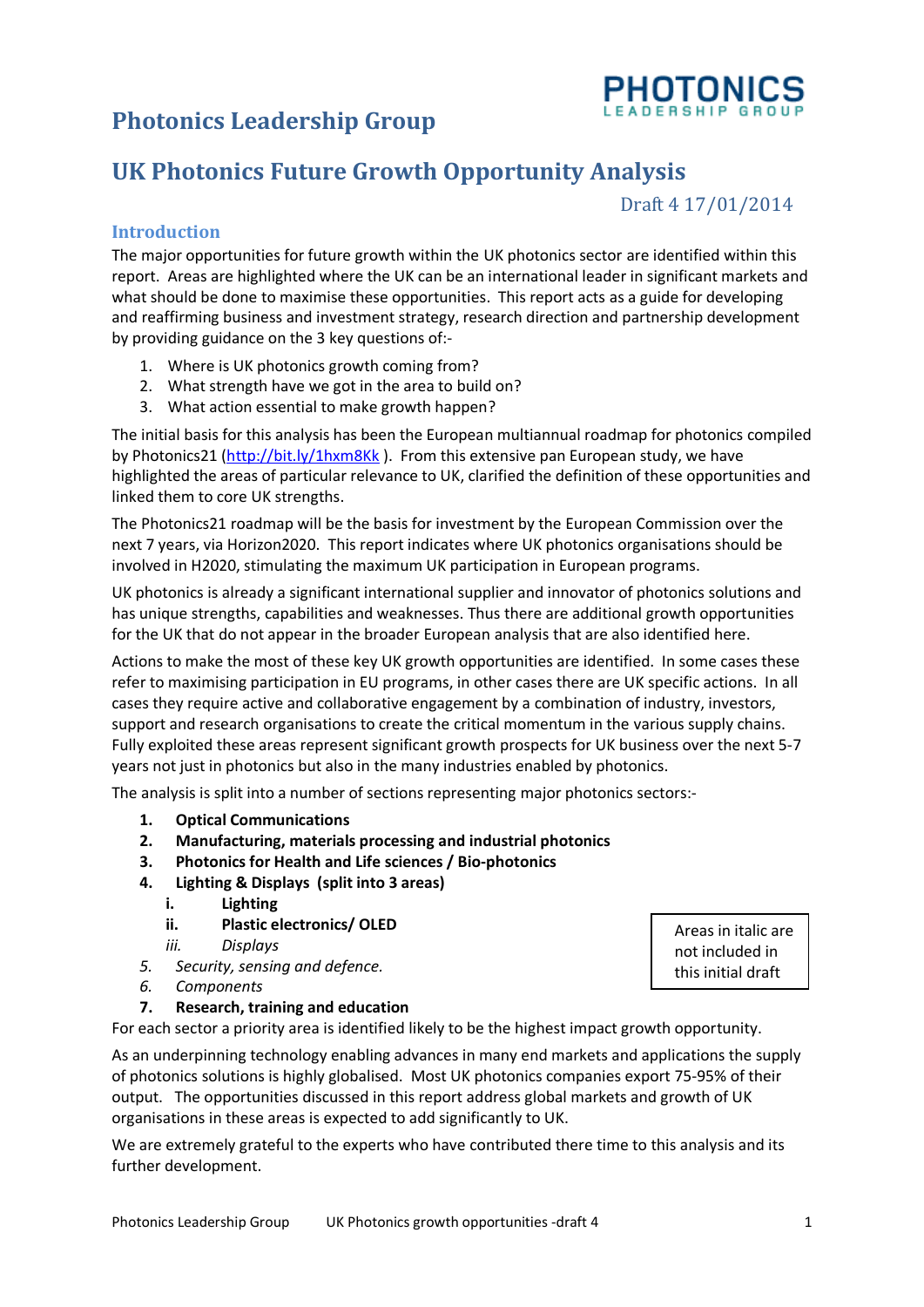# **Photonics Leadership Group**



Draft 4 17/01/2014

#### **Introduction**

The major opportunities for future growth within the UK photonics sector are identified within this report. Areas are highlighted where the UK can be an international leader in significant markets and what should be done to maximise these opportunities. This report acts as a guide for developing and reaffirming business and investment strategy, research direction and partnership development by providing guidance on the 3 key questions of:-

- 1. Where is UK photonics growth coming from?
- 2. What strength have we got in the area to build on?
- 3. What action essential to make growth happen?

The initial basis for this analysis has been the European multiannual roadmap for photonics compiled by Photonics21 [\(http://bit.ly/1hxm8Kk](http://bit.ly/1hxm8Kk)). From this extensive pan European study, we have highlighted the areas of particular relevance to UK, clarified the definition of these opportunities and linked them to core UK strengths.

The Photonics21 roadmap will be the basis for investment by the European Commission over the next 7 years, via Horizon2020. This report indicates where UK photonics organisations should be involved in H2020, stimulating the maximum UK participation in European programs.

UK photonics is already a significant international supplier and innovator of photonics solutions and has unique strengths, capabilities and weaknesses. Thus there are additional growth opportunities for the UK that do not appear in the broader European analysis that are also identified here.

Actions to make the most of these key UK growth opportunities are identified. In some cases these refer to maximising participation in EU programs, in other cases there are UK specific actions. In all cases they require active and collaborative engagement by a combination of industry, investors, support and research organisations to create the critical momentum in the various supply chains. Fully exploited these areas represent significant growth prospects for UK business over the next 5-7 years not just in photonics but also in the many industries enabled by photonics.

The analysis is split into a number of sections representing major photonics sectors:-

- **1. Optical Communications**
- **2. Manufacturing, materials processing and industrial photonics**
- **3. Photonics for Health and Life sciences / Bio-photonics**
- **4. Lighting & Displays (split into 3 areas)**
	- **i. Lighting**
	- **ii. Plastic electronics/ OLED**
	- *iii. Displays*
- *5. Security, sensing and defence.*
- *6. Components*
- **7. Research, training and education**

For each sector a priority area is identified likely to be the highest impact growth opportunity.

As an underpinning technology enabling advances in many end markets and applications the supply of photonics solutions is highly globalised. Most UK photonics companies export 75-95% of their output. The opportunities discussed in this report address global markets and growth of UK organisations in these areas is expected to add significantly to UK.

We are extremely grateful to the experts who have contributed there time to this analysis and its further development.

Areas in italic are not included in this initial draft

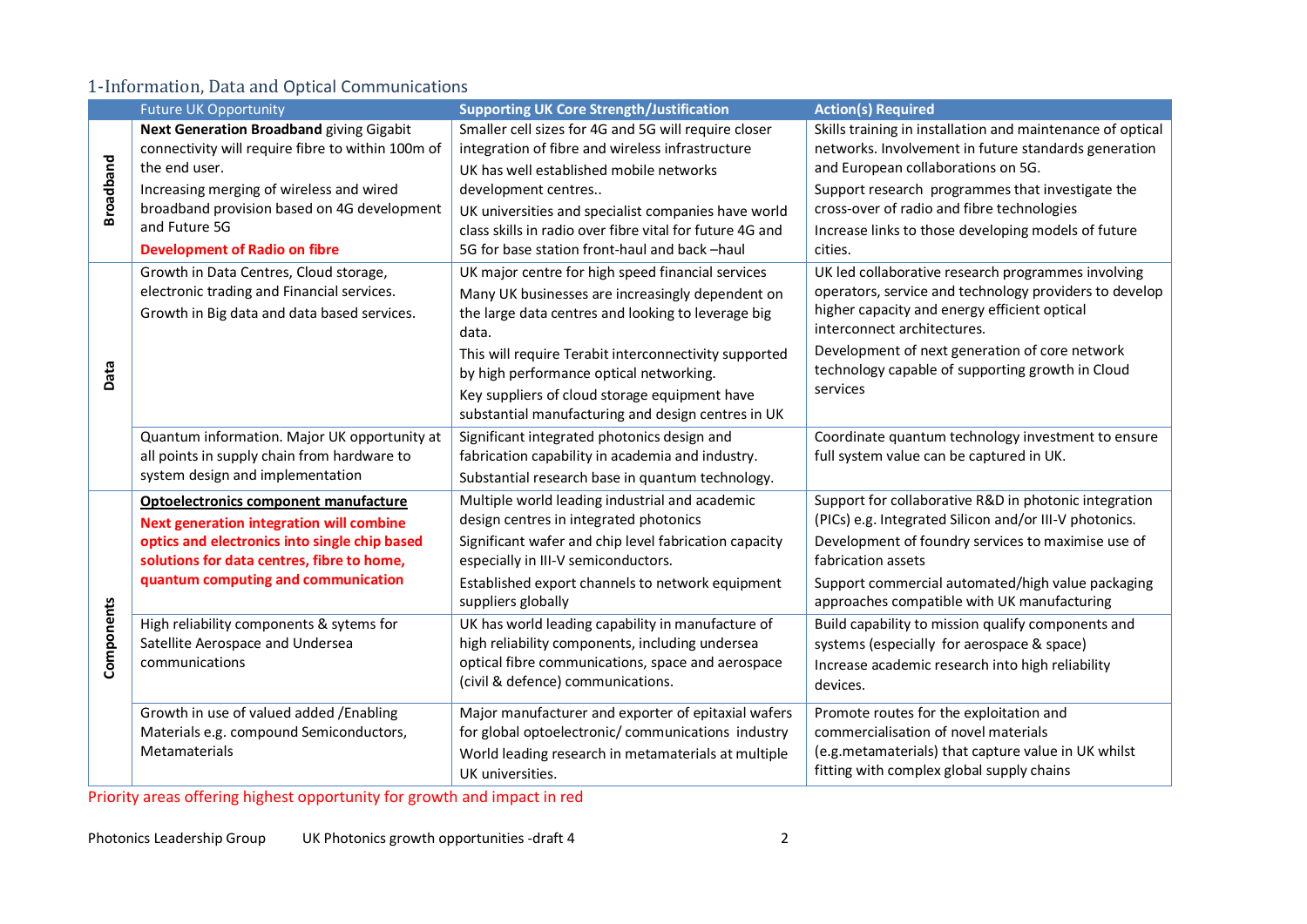#### 1-Information, Data and Optical Communications

|                  | <b>Future UK Opportunity</b><br><b>Supporting UK Core Strength/Justification</b>                                                                                                                                               |                                                                                                                                                                                                                                                                                                                                                                                 | <b>Action(s) Required</b>                                                                                                                                                                                                                                                                                     |
|------------------|--------------------------------------------------------------------------------------------------------------------------------------------------------------------------------------------------------------------------------|---------------------------------------------------------------------------------------------------------------------------------------------------------------------------------------------------------------------------------------------------------------------------------------------------------------------------------------------------------------------------------|---------------------------------------------------------------------------------------------------------------------------------------------------------------------------------------------------------------------------------------------------------------------------------------------------------------|
|                  | <b>Next Generation Broadband giving Gigabit</b><br>connectivity will require fibre to within 100m of<br>the end user.                                                                                                          | Smaller cell sizes for 4G and 5G will require closer<br>integration of fibre and wireless infrastructure<br>UK has well established mobile networks                                                                                                                                                                                                                             | Skills training in installation and maintenance of optical<br>networks. Involvement in future standards generation<br>and European collaborations on 5G.                                                                                                                                                      |
| <b>Broadband</b> | Increasing merging of wireless and wired<br>broadband provision based on 4G development<br>and Future 5G<br><b>Development of Radio on fibre</b>                                                                               | development centres<br>UK universities and specialist companies have world<br>class skills in radio over fibre vital for future 4G and<br>5G for base station front-haul and back-haul                                                                                                                                                                                          | Support research programmes that investigate the<br>cross-over of radio and fibre technologies<br>Increase links to those developing models of future<br>cities.                                                                                                                                              |
| Data             | Growth in Data Centres, Cloud storage,<br>electronic trading and Financial services.<br>Growth in Big data and data based services.                                                                                            | UK major centre for high speed financial services<br>Many UK businesses are increasingly dependent on<br>the large data centres and looking to leverage big<br>data.<br>This will require Terabit interconnectivity supported<br>by high performance optical networking.<br>Key suppliers of cloud storage equipment have<br>substantial manufacturing and design centres in UK | UK led collaborative research programmes involving<br>operators, service and technology providers to develop<br>higher capacity and energy efficient optical<br>interconnect architectures.<br>Development of next generation of core network<br>technology capable of supporting growth in Cloud<br>services |
|                  | Quantum information. Major UK opportunity at<br>all points in supply chain from hardware to<br>system design and implementation                                                                                                | Significant integrated photonics design and<br>fabrication capability in academia and industry.<br>Substantial research base in quantum technology.                                                                                                                                                                                                                             | Coordinate quantum technology investment to ensure<br>full system value can be captured in UK.                                                                                                                                                                                                                |
|                  | Optoelectronics component manufacture<br><b>Next generation integration will combine</b><br>optics and electronics into single chip based<br>solutions for data centres, fibre to home,<br>quantum computing and communication | Multiple world leading industrial and academic<br>design centres in integrated photonics<br>Significant wafer and chip level fabrication capacity<br>especially in III-V semiconductors.<br>Established export channels to network equipment<br>suppliers globally                                                                                                              | Support for collaborative R&D in photonic integration<br>(PICs) e.g. Integrated Silicon and/or III-V photonics.<br>Development of foundry services to maximise use of<br>fabrication assets<br>Support commercial automated/high value packaging<br>approaches compatible with UK manufacturing               |
| Components       | High reliability components & sytems for<br>Satellite Aerospace and Undersea<br>communications                                                                                                                                 | UK has world leading capability in manufacture of<br>high reliability components, including undersea<br>optical fibre communications, space and aerospace<br>(civil & defence) communications.                                                                                                                                                                                  | Build capability to mission qualify components and<br>systems (especially for aerospace & space)<br>Increase academic research into high reliability<br>devices.                                                                                                                                              |
|                  | Growth in use of valued added /Enabling<br>Materials e.g. compound Semiconductors,<br>Metamaterials                                                                                                                            | Major manufacturer and exporter of epitaxial wafers<br>for global optoelectronic/ communications industry<br>World leading research in metamaterials at multiple<br>UK universities.                                                                                                                                                                                            | Promote routes for the exploitation and<br>commercialisation of novel materials<br>(e.g.metamaterials) that capture value in UK whilst<br>fitting with complex global supply chains                                                                                                                           |

Priority areas offering highest opportunity for growth and impact in red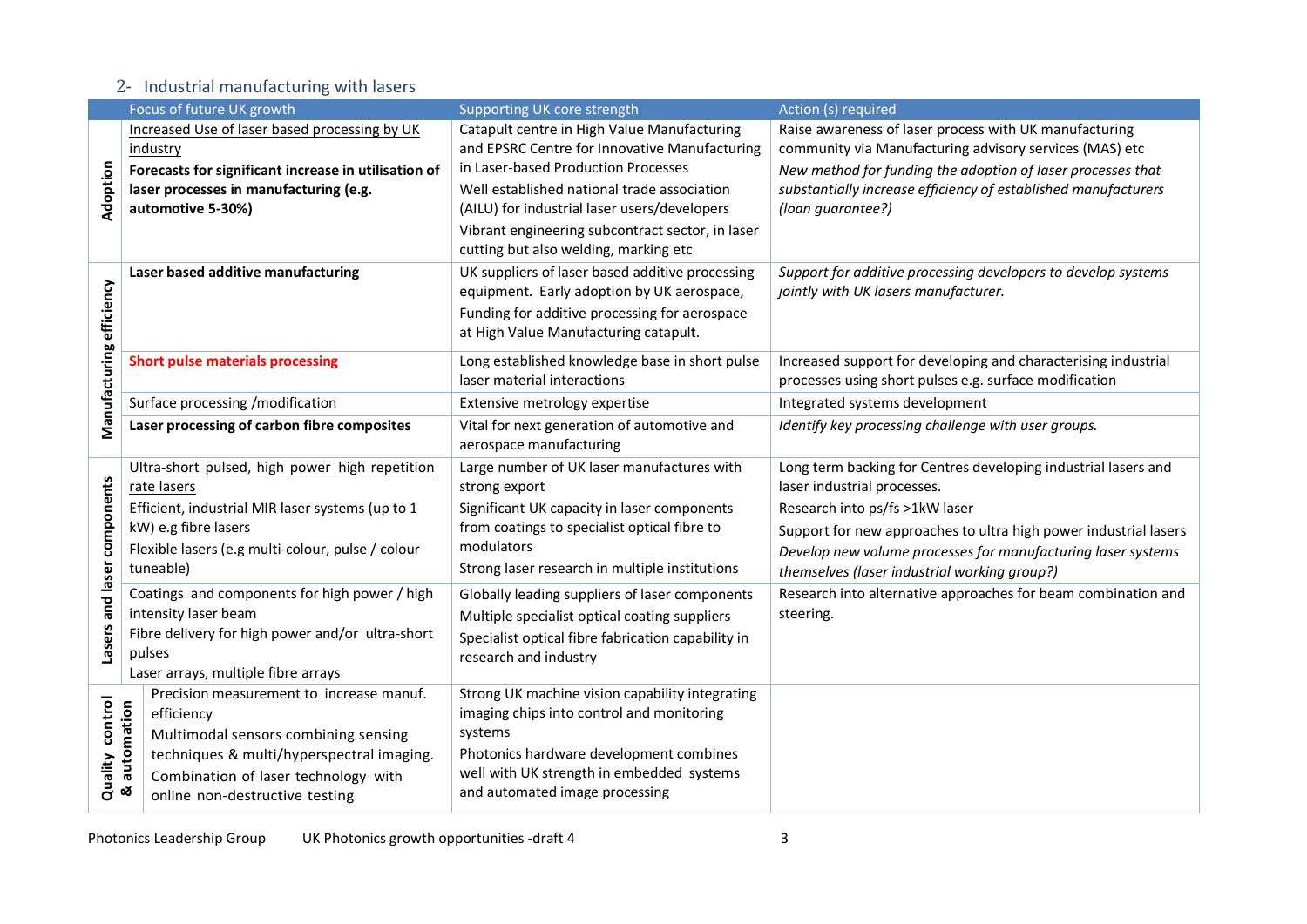### 2- Industrial manufacturing with lasers

|                          | Focus of future UK growth                              | Supporting UK core strength                                                                  | Action (s) required                                              |
|--------------------------|--------------------------------------------------------|----------------------------------------------------------------------------------------------|------------------------------------------------------------------|
| Adoption                 | Increased Use of laser based processing by UK          | Catapult centre in High Value Manufacturing                                                  | Raise awareness of laser process with UK manufacturing           |
|                          | industry                                               | and EPSRC Centre for Innovative Manufacturing                                                | community via Manufacturing advisory services (MAS) etc          |
|                          | Forecasts for significant increase in utilisation of   | in Laser-based Production Processes                                                          | New method for funding the adoption of laser processes that      |
|                          | laser processes in manufacturing (e.g.                 | Well established national trade association                                                  | substantially increase efficiency of established manufacturers   |
|                          | automotive 5-30%)                                      | (AILU) for industrial laser users/developers                                                 | (loan guarantee?)                                                |
|                          |                                                        | Vibrant engineering subcontract sector, in laser                                             |                                                                  |
|                          |                                                        | cutting but also welding, marking etc                                                        |                                                                  |
|                          | Laser based additive manufacturing                     | UK suppliers of laser based additive processing                                              | Support for additive processing developers to develop systems    |
|                          |                                                        | equipment. Early adoption by UK aerospace,                                                   | jointly with UK lasers manufacturer.                             |
|                          |                                                        | Funding for additive processing for aerospace                                                |                                                                  |
|                          |                                                        | at High Value Manufacturing catapult.                                                        |                                                                  |
|                          | <b>Short pulse materials processing</b>                | Long established knowledge base in short pulse                                               | Increased support for developing and characterising industrial   |
| Manufacturing efficiency |                                                        | laser material interactions                                                                  | processes using short pulses e.g. surface modification           |
|                          | Surface processing /modification                       | Extensive metrology expertise                                                                | Integrated systems development                                   |
|                          | Laser processing of carbon fibre composites            | Vital for next generation of automotive and                                                  | Identify key processing challenge with user groups.              |
|                          |                                                        | aerospace manufacturing                                                                      |                                                                  |
|                          | Ultra-short pulsed, high power high repetition         | Large number of UK laser manufactures with                                                   | Long term backing for Centres developing industrial lasers and   |
|                          | rate lasers                                            | strong export                                                                                | laser industrial processes.                                      |
|                          | Efficient, industrial MIR laser systems (up to 1       | Significant UK capacity in laser components                                                  | Research into ps/fs >1kW laser                                   |
|                          | kW) e.g fibre lasers                                   | from coatings to specialist optical fibre to                                                 | Support for new approaches to ultra high power industrial lasers |
|                          | Flexible lasers (e.g multi-colour, pulse / colour      | modulators                                                                                   | Develop new volume processes for manufacturing laser systems     |
|                          | tuneable)                                              | Strong laser research in multiple institutions                                               | themselves (laser industrial working group?)                     |
| and laser components     | Coatings and components for high power / high          | Globally leading suppliers of laser components                                               | Research into alternative approaches for beam combination and    |
| Lasers                   | intensity laser beam                                   | Multiple specialist optical coating suppliers                                                | steering.                                                        |
|                          | Fibre delivery for high power and/or ultra-short       | Specialist optical fibre fabrication capability in                                           |                                                                  |
|                          | pulses                                                 | research and industry                                                                        |                                                                  |
|                          | Laser arrays, multiple fibre arrays                    |                                                                                              |                                                                  |
|                          | Precision measurement to increase manuf.<br>efficiency | Strong UK machine vision capability integrating<br>imaging chips into control and monitoring |                                                                  |
| control                  |                                                        | systems                                                                                      |                                                                  |
|                          | Multimodal sensors combining sensing                   |                                                                                              |                                                                  |
|                          | techniques & multi/hyperspectral imaging.              | Photonics hardware development combines<br>well with UK strength in embedded systems         |                                                                  |
| Quality                  | & automation<br>Combination of laser technology with   | and automated image processing                                                               |                                                                  |
|                          | online non-destructive testing                         |                                                                                              |                                                                  |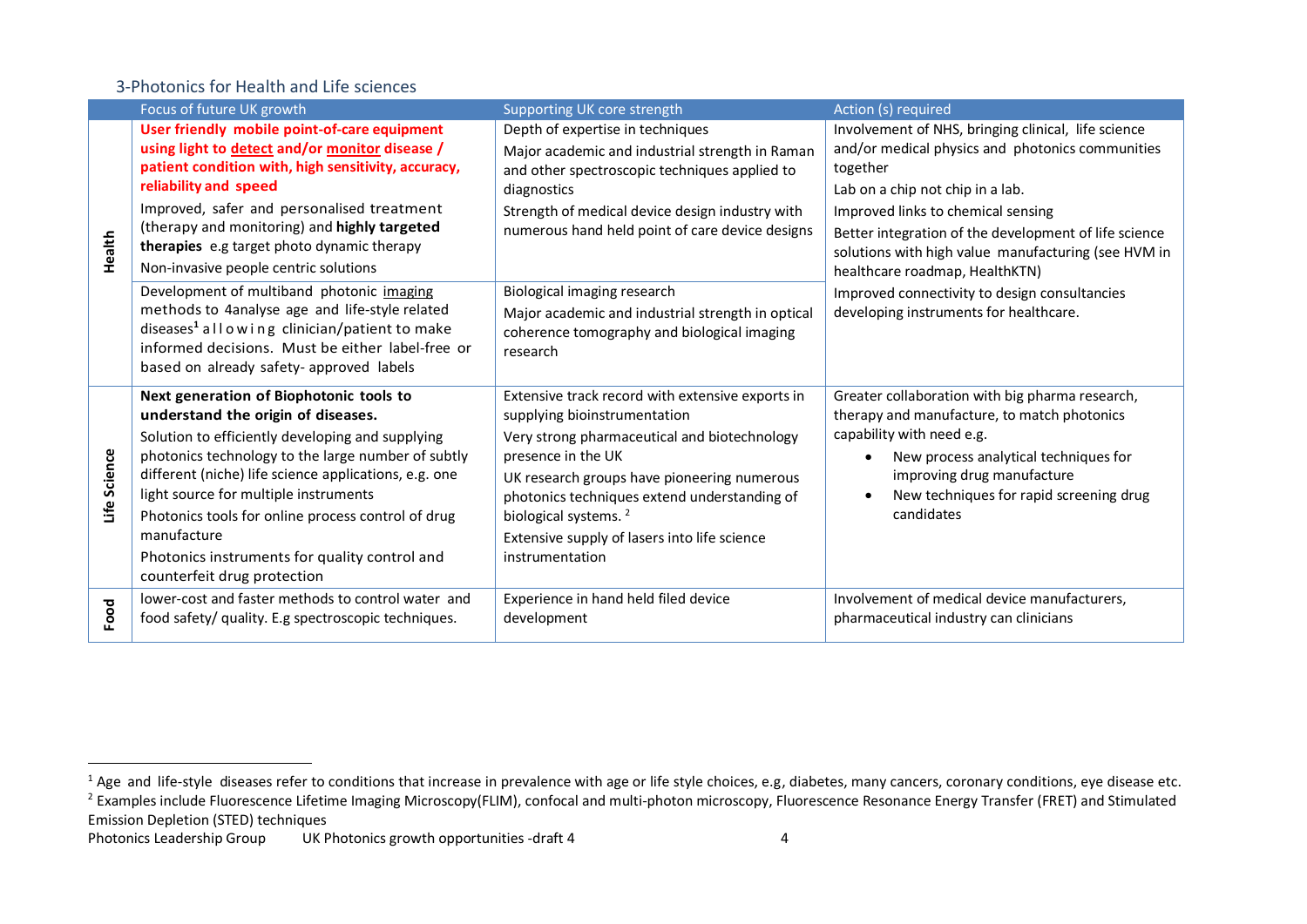#### 3-Photonics for Health and Life sciences

|              | Focus of future UK growth                                                                                                                                                                                                                                                                                 | Supporting UK core strength                                                                                                                                                                                              | Action (s) required                                                                                                                                                                  |
|--------------|-----------------------------------------------------------------------------------------------------------------------------------------------------------------------------------------------------------------------------------------------------------------------------------------------------------|--------------------------------------------------------------------------------------------------------------------------------------------------------------------------------------------------------------------------|--------------------------------------------------------------------------------------------------------------------------------------------------------------------------------------|
| Health       | User friendly mobile point-of-care equipment<br>using light to detect and/or monitor disease /<br>patient condition with, high sensitivity, accuracy,<br>reliability and speed                                                                                                                            | Depth of expertise in techniques<br>Major academic and industrial strength in Raman<br>and other spectroscopic techniques applied to<br>diagnostics                                                                      | Involvement of NHS, bringing clinical, life science<br>and/or medical physics and photonics communities<br>together<br>Lab on a chip not chip in a lab.                              |
|              | Improved, safer and personalised treatment<br>(therapy and monitoring) and highly targeted<br><b>therapies</b> e.g target photo dynamic therapy<br>Non-invasive people centric solutions                                                                                                                  | Strength of medical device design industry with<br>numerous hand held point of care device designs                                                                                                                       | Improved links to chemical sensing<br>Better integration of the development of life science<br>solutions with high value manufacturing (see HVM in<br>healthcare roadmap, HealthKTN) |
|              | Development of multiband photonic imaging<br>methods to 4analyse age and life-style related<br>diseases <sup>1</sup> allowing clinician/patient to make<br>informed decisions. Must be either label-free or<br>based on already safety- approved labels                                                   | Biological imaging research<br>Major academic and industrial strength in optical<br>coherence tomography and biological imaging<br>research                                                                              | Improved connectivity to design consultancies<br>developing instruments for healthcare.                                                                                              |
|              | Next generation of Biophotonic tools to<br>understand the origin of diseases.<br>Solution to efficiently developing and supplying                                                                                                                                                                         | Extensive track record with extensive exports in<br>supplying bioinstrumentation<br>Very strong pharmaceutical and biotechnology                                                                                         | Greater collaboration with big pharma research,<br>therapy and manufacture, to match photonics<br>capability with need e.g.                                                          |
| Life Science | photonics technology to the large number of subtly<br>different (niche) life science applications, e.g. one<br>light source for multiple instruments<br>Photonics tools for online process control of drug<br>manufacture<br>Photonics instruments for quality control and<br>counterfeit drug protection | presence in the UK<br>UK research groups have pioneering numerous<br>photonics techniques extend understanding of<br>biological systems. <sup>2</sup><br>Extensive supply of lasers into life science<br>instrumentation | New process analytical techniques for<br>improving drug manufacture<br>New techniques for rapid screening drug<br>candidates                                                         |
| Food         | lower-cost and faster methods to control water and<br>food safety/ quality. E.g spectroscopic techniques.                                                                                                                                                                                                 | Experience in hand held filed device<br>development                                                                                                                                                                      | Involvement of medical device manufacturers,<br>pharmaceutical industry can clinicians                                                                                               |

 $\overline{a}$ 

<sup>&</sup>lt;sup>1</sup> Age and life-style diseases refer to conditions that increase in prevalence with age or life style choices, e.g, diabetes, many cancers, coronary conditions, eye disease etc. <sup>2</sup> Examples include Fluorescence Lifetime Imaging Microscopy(FLIM), confocal and multi-photon microscopy, Fluorescence Resonance Energy Transfer (FRET) and Stimulated Emission Depletion (STED) techniques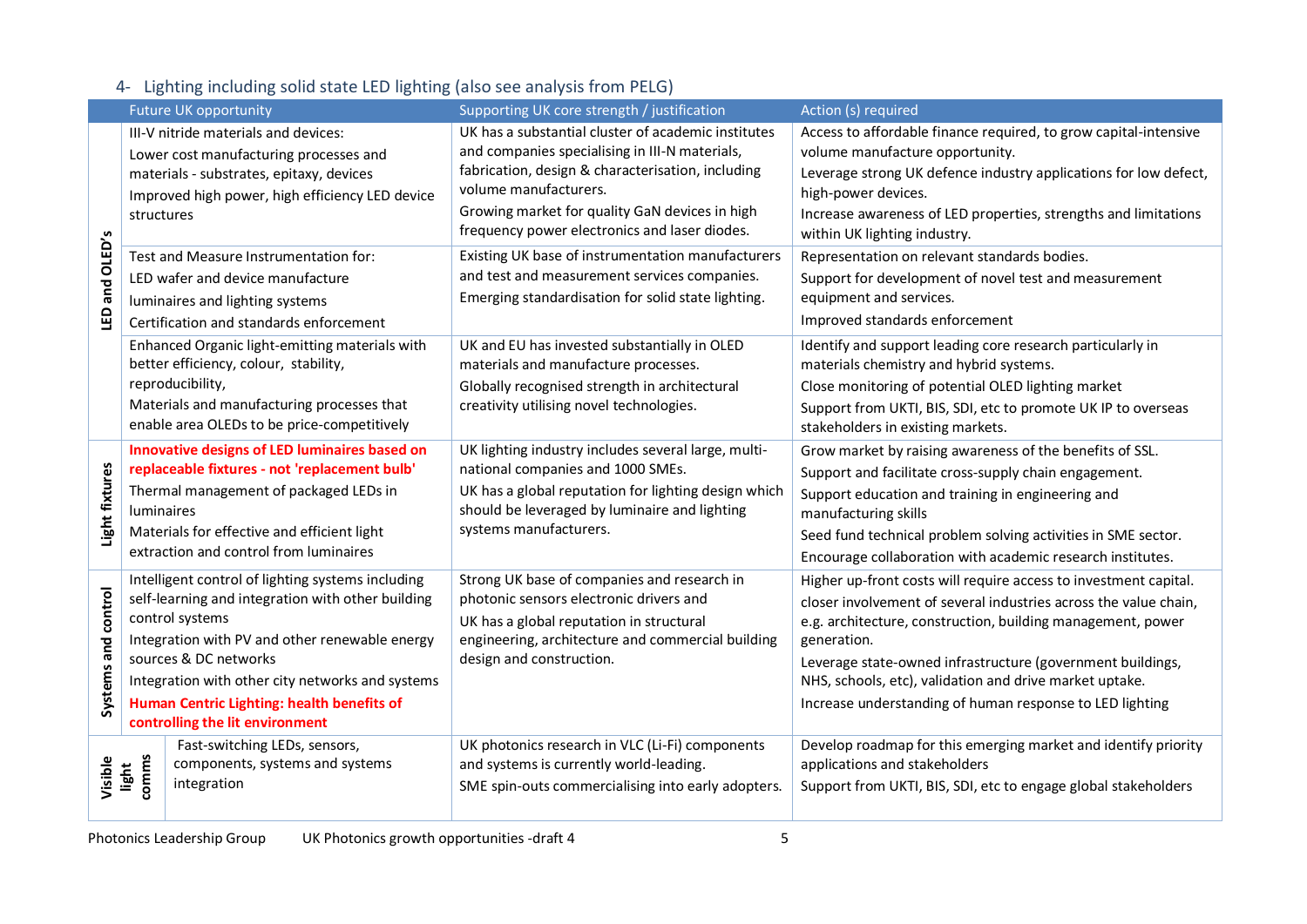## 4- Lighting including solid state LED lighting (also see analysis from PELG)

|                     |                | <b>Future UK opportunity</b>                                                                                                                                                                                                                                                                                                              | Supporting UK core strength / justification                                                                                                                                                                                                                                            | Action (s) required                                                                                                                                                                                                                                                                                                                                                                                     |
|---------------------|----------------|-------------------------------------------------------------------------------------------------------------------------------------------------------------------------------------------------------------------------------------------------------------------------------------------------------------------------------------------|----------------------------------------------------------------------------------------------------------------------------------------------------------------------------------------------------------------------------------------------------------------------------------------|---------------------------------------------------------------------------------------------------------------------------------------------------------------------------------------------------------------------------------------------------------------------------------------------------------------------------------------------------------------------------------------------------------|
| and OLED's<br>G     | structures     | III-V nitride materials and devices:<br>Lower cost manufacturing processes and<br>materials - substrates, epitaxy, devices<br>Improved high power, high efficiency LED device                                                                                                                                                             | UK has a substantial cluster of academic institutes<br>and companies specialising in III-N materials,<br>fabrication, design & characterisation, including<br>volume manufacturers.<br>Growing market for quality GaN devices in high<br>frequency power electronics and laser diodes. | Access to affordable finance required, to grow capital-intensive<br>volume manufacture opportunity.<br>Leverage strong UK defence industry applications for low defect,<br>high-power devices.<br>Increase awareness of LED properties, strengths and limitations<br>within UK lighting industry.                                                                                                       |
|                     |                | Test and Measure Instrumentation for:<br>LED wafer and device manufacture<br>luminaires and lighting systems<br>Certification and standards enforcement                                                                                                                                                                                   | Existing UK base of instrumentation manufacturers<br>and test and measurement services companies.<br>Emerging standardisation for solid state lighting.                                                                                                                                | Representation on relevant standards bodies.<br>Support for development of novel test and measurement<br>equipment and services.<br>Improved standards enforcement                                                                                                                                                                                                                                      |
|                     |                | Enhanced Organic light-emitting materials with<br>better efficiency, colour, stability,<br>reproducibility,<br>Materials and manufacturing processes that<br>enable area OLEDs to be price-competitively                                                                                                                                  | UK and EU has invested substantially in OLED<br>materials and manufacture processes.<br>Globally recognised strength in architectural<br>creativity utilising novel technologies.                                                                                                      | Identify and support leading core research particularly in<br>materials chemistry and hybrid systems.<br>Close monitoring of potential OLED lighting market<br>Support from UKTI, BIS, SDI, etc to promote UK IP to overseas<br>stakeholders in existing markets.                                                                                                                                       |
| Light fixtures      | luminaires     | Innovative designs of LED luminaires based on<br>replaceable fixtures - not 'replacement bulb'<br>Thermal management of packaged LEDs in<br>Materials for effective and efficient light<br>extraction and control from luminaires                                                                                                         | UK lighting industry includes several large, multi-<br>national companies and 1000 SMEs.<br>UK has a global reputation for lighting design which<br>should be leveraged by luminaire and lighting<br>systems manufacturers.                                                            | Grow market by raising awareness of the benefits of SSL.<br>Support and facilitate cross-supply chain engagement.<br>Support education and training in engineering and<br>manufacturing skills<br>Seed fund technical problem solving activities in SME sector.<br>Encourage collaboration with academic research institutes.                                                                           |
| Systems and control |                | Intelligent control of lighting systems including<br>self-learning and integration with other building<br>control systems<br>Integration with PV and other renewable energy<br>sources & DC networks<br>Integration with other city networks and systems<br>Human Centric Lighting: health benefits of<br>controlling the lit environment | Strong UK base of companies and research in<br>photonic sensors electronic drivers and<br>UK has a global reputation in structural<br>engineering, architecture and commercial building<br>design and construction.                                                                    | Higher up-front costs will require access to investment capital.<br>closer involvement of several industries across the value chain,<br>e.g. architecture, construction, building management, power<br>generation.<br>Leverage state-owned infrastructure (government buildings,<br>NHS, schools, etc), validation and drive market uptake.<br>Increase understanding of human response to LED lighting |
| Visible             | comms<br>light | Fast-switching LEDs, sensors,<br>components, systems and systems<br>integration                                                                                                                                                                                                                                                           | UK photonics research in VLC (Li-Fi) components<br>and systems is currently world-leading.<br>SME spin-outs commercialising into early adopters.                                                                                                                                       | Develop roadmap for this emerging market and identify priority<br>applications and stakeholders<br>Support from UKTI, BIS, SDI, etc to engage global stakeholders                                                                                                                                                                                                                                       |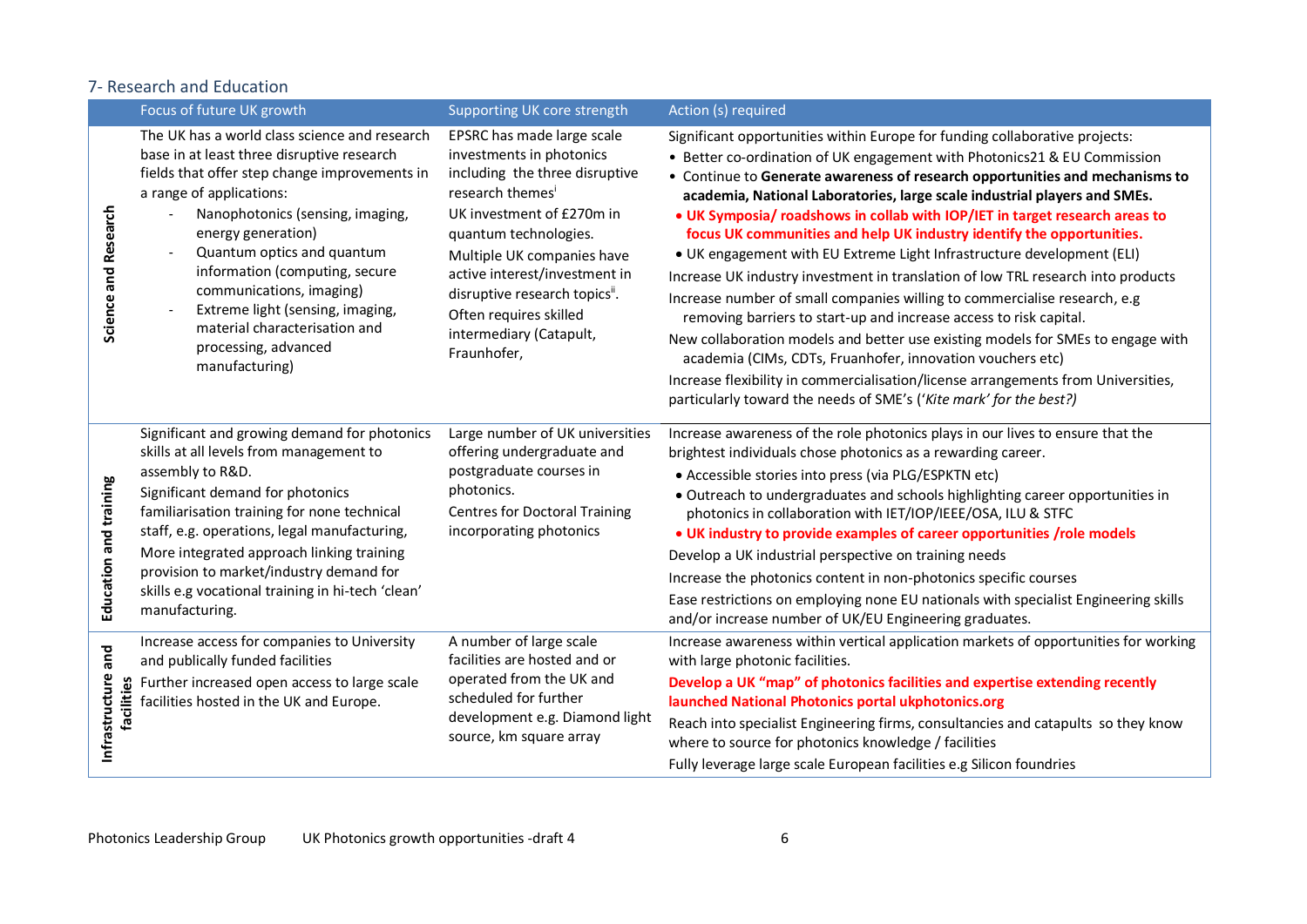#### 7- Research and Education

|                                     | Focus of future UK growth                                                                                                                                                                                                                                                                                                                                                                                                                     | Supporting UK core strength                                                                                                                                                                                                                                                                                                                       | Action (s) required                                                                                                                                                                                                                                                                                                                                                                                                                                                                                                                                                                                                                                                                                                                                                                                                                                                                                                                                                                                                                                                                                       |
|-------------------------------------|-----------------------------------------------------------------------------------------------------------------------------------------------------------------------------------------------------------------------------------------------------------------------------------------------------------------------------------------------------------------------------------------------------------------------------------------------|---------------------------------------------------------------------------------------------------------------------------------------------------------------------------------------------------------------------------------------------------------------------------------------------------------------------------------------------------|-----------------------------------------------------------------------------------------------------------------------------------------------------------------------------------------------------------------------------------------------------------------------------------------------------------------------------------------------------------------------------------------------------------------------------------------------------------------------------------------------------------------------------------------------------------------------------------------------------------------------------------------------------------------------------------------------------------------------------------------------------------------------------------------------------------------------------------------------------------------------------------------------------------------------------------------------------------------------------------------------------------------------------------------------------------------------------------------------------------|
| Science and Research                | The UK has a world class science and research<br>base in at least three disruptive research<br>fields that offer step change improvements in<br>a range of applications:<br>Nanophotonics (sensing, imaging,<br>energy generation)<br>Quantum optics and quantum<br>information (computing, secure<br>communications, imaging)<br>Extreme light (sensing, imaging,<br>material characterisation and<br>processing, advanced<br>manufacturing) | EPSRC has made large scale<br>investments in photonics<br>including the three disruptive<br>research themes <sup>i</sup><br>UK investment of £270m in<br>quantum technologies.<br>Multiple UK companies have<br>active interest/investment in<br>disruptive research topics".<br>Often requires skilled<br>intermediary (Catapult,<br>Fraunhofer, | Significant opportunities within Europe for funding collaborative projects:<br>• Better co-ordination of UK engagement with Photonics21 & EU Commission<br>• Continue to Generate awareness of research opportunities and mechanisms to<br>academia, National Laboratories, large scale industrial players and SMEs.<br>. UK Symposia/ roadshows in collab with IOP/IET in target research areas to<br>focus UK communities and help UK industry identify the opportunities.<br>• UK engagement with EU Extreme Light Infrastructure development (ELI)<br>Increase UK industry investment in translation of low TRL research into products<br>Increase number of small companies willing to commercialise research, e.g<br>removing barriers to start-up and increase access to risk capital.<br>New collaboration models and better use existing models for SMEs to engage with<br>academia (CIMs, CDTs, Fruanhofer, innovation vouchers etc)<br>Increase flexibility in commercialisation/license arrangements from Universities,<br>particularly toward the needs of SME's ('Kite mark' for the best?) |
| Education and training              | Significant and growing demand for photonics<br>skills at all levels from management to<br>assembly to R&D.<br>Significant demand for photonics<br>familiarisation training for none technical<br>staff, e.g. operations, legal manufacturing,<br>More integrated approach linking training<br>provision to market/industry demand for<br>skills e.g vocational training in hi-tech 'clean'<br>manufacturing.                                 | Large number of UK universities<br>offering undergraduate and<br>postgraduate courses in<br>photonics.<br><b>Centres for Doctoral Training</b><br>incorporating photonics                                                                                                                                                                         | Increase awareness of the role photonics plays in our lives to ensure that the<br>brightest individuals chose photonics as a rewarding career.<br>• Accessible stories into press (via PLG/ESPKTN etc)<br>• Outreach to undergraduates and schools highlighting career opportunities in<br>photonics in collaboration with IET/IOP/IEEE/OSA, ILU & STFC<br>. UK industry to provide examples of career opportunities /role models<br>Develop a UK industrial perspective on training needs<br>Increase the photonics content in non-photonics specific courses<br>Ease restrictions on employing none EU nationals with specialist Engineering skills<br>and/or increase number of UK/EU Engineering graduates.                                                                                                                                                                                                                                                                                                                                                                                           |
| and<br>Infrastructure<br>facilities | Increase access for companies to University<br>and publically funded facilities<br>Further increased open access to large scale<br>facilities hosted in the UK and Europe.                                                                                                                                                                                                                                                                    | A number of large scale<br>facilities are hosted and or<br>operated from the UK and<br>scheduled for further<br>development e.g. Diamond light<br>source, km square array                                                                                                                                                                         | Increase awareness within vertical application markets of opportunities for working<br>with large photonic facilities.<br>Develop a UK "map" of photonics facilities and expertise extending recently<br>launched National Photonics portal ukphotonics.org<br>Reach into specialist Engineering firms, consultancies and catapults so they know<br>where to source for photonics knowledge / facilities<br>Fully leverage large scale European facilities e.g Silicon foundries                                                                                                                                                                                                                                                                                                                                                                                                                                                                                                                                                                                                                          |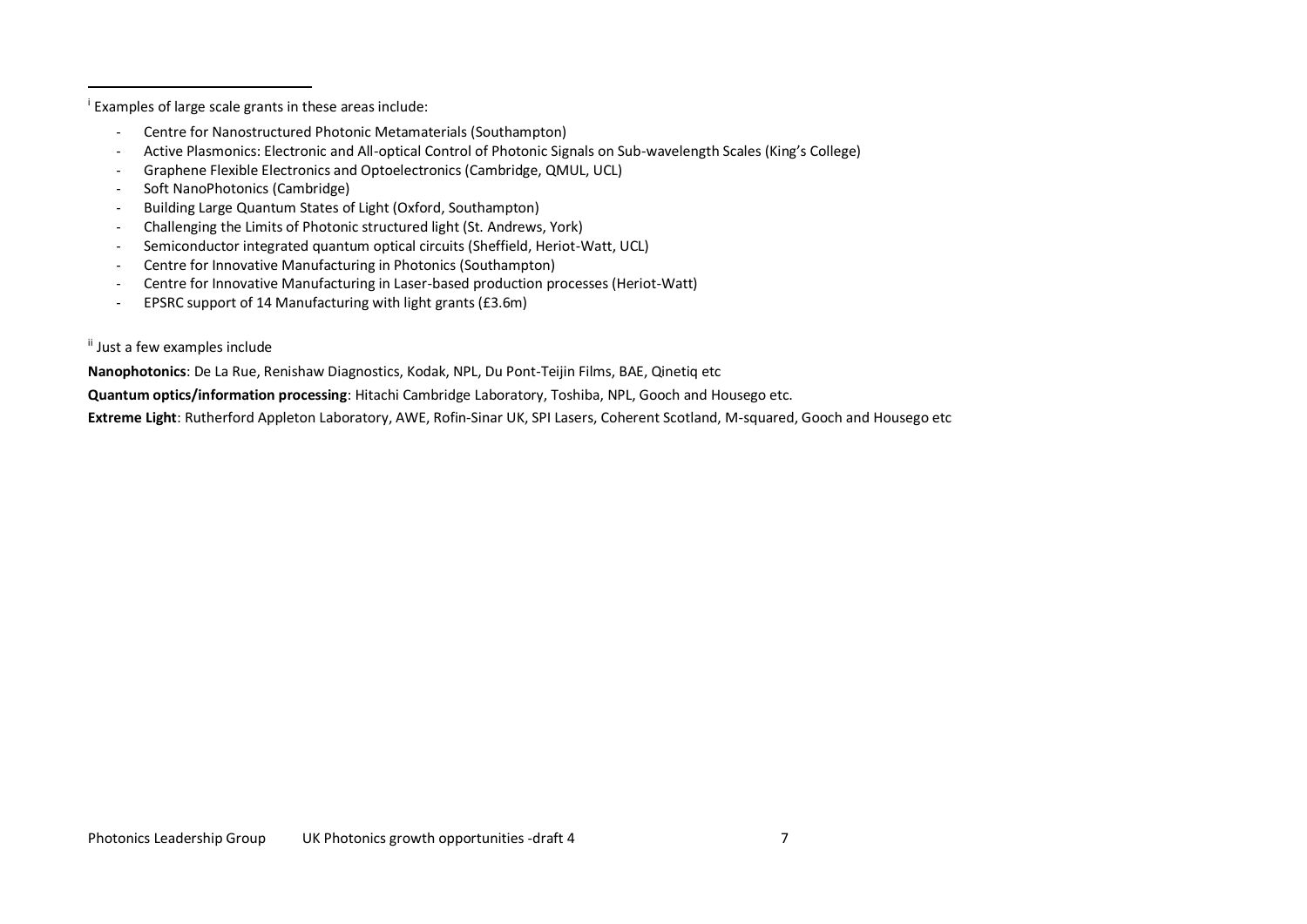i Examples of large scale grants in these areas include:

- Centre for Nanostructured Photonic Metamaterials (Southampton)
- Active Plasmonics: Electronic and All-optical Control of Photonic Signals on Sub-wavelength Scales (King's College)
- Graphene Flexible Electronics and Optoelectronics (Cambridge, QMUL, UCL)
- Soft NanoPhotonics (Cambridge)
- Building Large Quantum States of Light (Oxford, Southampton)
- Challenging the Limits of Photonic structured light (St. Andrews, York)
- Semiconductor integrated quantum optical circuits (Sheffield, Heriot-Watt, UCL)
- Centre for Innovative Manufacturing in Photonics (Southampton)
- Centre for Innovative Manufacturing in Laser-based production processes (Heriot-Watt)
- EPSRC support of 14 Manufacturing with light grants (£3.6m)

ii Just a few examples include

 $\overline{a}$ 

**Nanophotonics**: De La Rue, Renishaw Diagnostics, Kodak, NPL, Du Pont-Teijin Films, BAE, Qinetiq etc

**Quantum optics/information processing**: Hitachi Cambridge Laboratory, Toshiba, NPL, Gooch and Housego etc.

**Extreme Light**: Rutherford Appleton Laboratory, AWE, Rofin-Sinar UK, SPI Lasers, Coherent Scotland, M-squared, Gooch and Housego etc